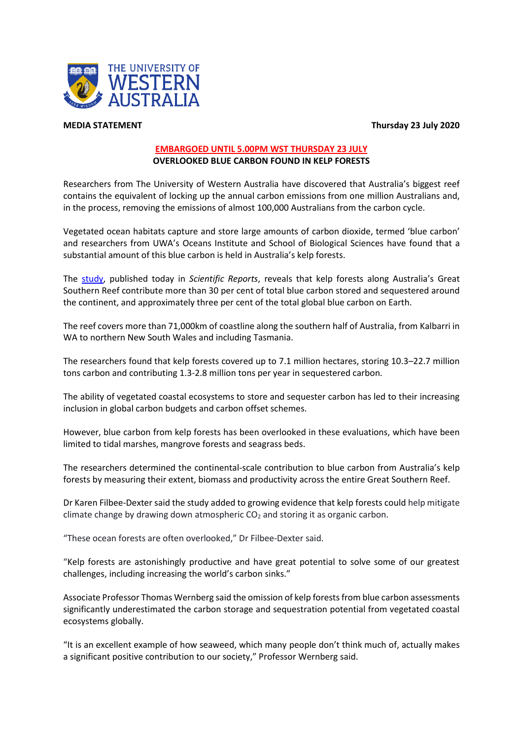



## **EMBARGOED UNTIL 5.00PM WST THURSDAY 23 JULY OVERLOOKED BLUE CARBON FOUND IN KELP FORESTS**

Researchers from The University of Western Australia have discovered that Australia's biggest reef contains the equivalent of locking up the annual carbon emissions from one million Australians and, in the process, removing the emissions of almost 100,000 Australians from the carbon cycle.

Vegetated ocean habitats capture and store large amounts of carbon dioxide, termed 'blue carbon' and researchers from UWA's Oceans Institute and School of Biological Sciences have found that a substantial amount of this blue carbon is held in Australia's kelp forests.

The [study,](http://www.nature.com/articles/s41598-020-69258-7) published today in *Scientific Reports*, reveals that kelp forests along Australia's Great Southern Reef contribute more than 30 per cent of total blue carbon stored and sequestered around the continent, and approximately three per cent of the total global blue carbon on Earth.

The reef covers more than 71,000km of coastline along the southern half of Australia, from Kalbarri in WA to northern New South Wales and including Tasmania.

The researchers found that kelp forests covered up to 7.1 million hectares, storing 10.3–22.7 million tons carbon and contributing 1.3-2.8 million tons per year in sequestered carbon.

The ability of vegetated coastal ecosystems to store and sequester carbon has led to their increasing inclusion in global carbon budgets and carbon offset schemes.

However, blue carbon from kelp forests has been overlooked in these evaluations, which have been limited to tidal marshes, mangrove forests and seagrass beds.

The researchers determined the continental-scale contribution to blue carbon from Australia's kelp forests by measuring their extent, biomass and productivity across the entire Great Southern Reef.

Dr Karen Filbee-Dexter said the study added to growing evidence that kelp forests could help mitigate climate change by drawing down atmospheric  $CO<sub>2</sub>$  and storing it as organic carbon.

"These ocean forests are often overlooked," Dr Filbee-Dexter said.

"Kelp forests are astonishingly productive and have great potential to solve some of our greatest challenges, including increasing the world's carbon sinks."

Associate Professor Thomas Wernberg said the omission of kelp forests from blue carbon assessments significantly underestimated the carbon storage and sequestration potential from vegetated coastal ecosystems globally.

"It is an excellent example of how seaweed, which many people don't think much of, actually makes a significant positive contribution to our society," Professor Wernberg said.